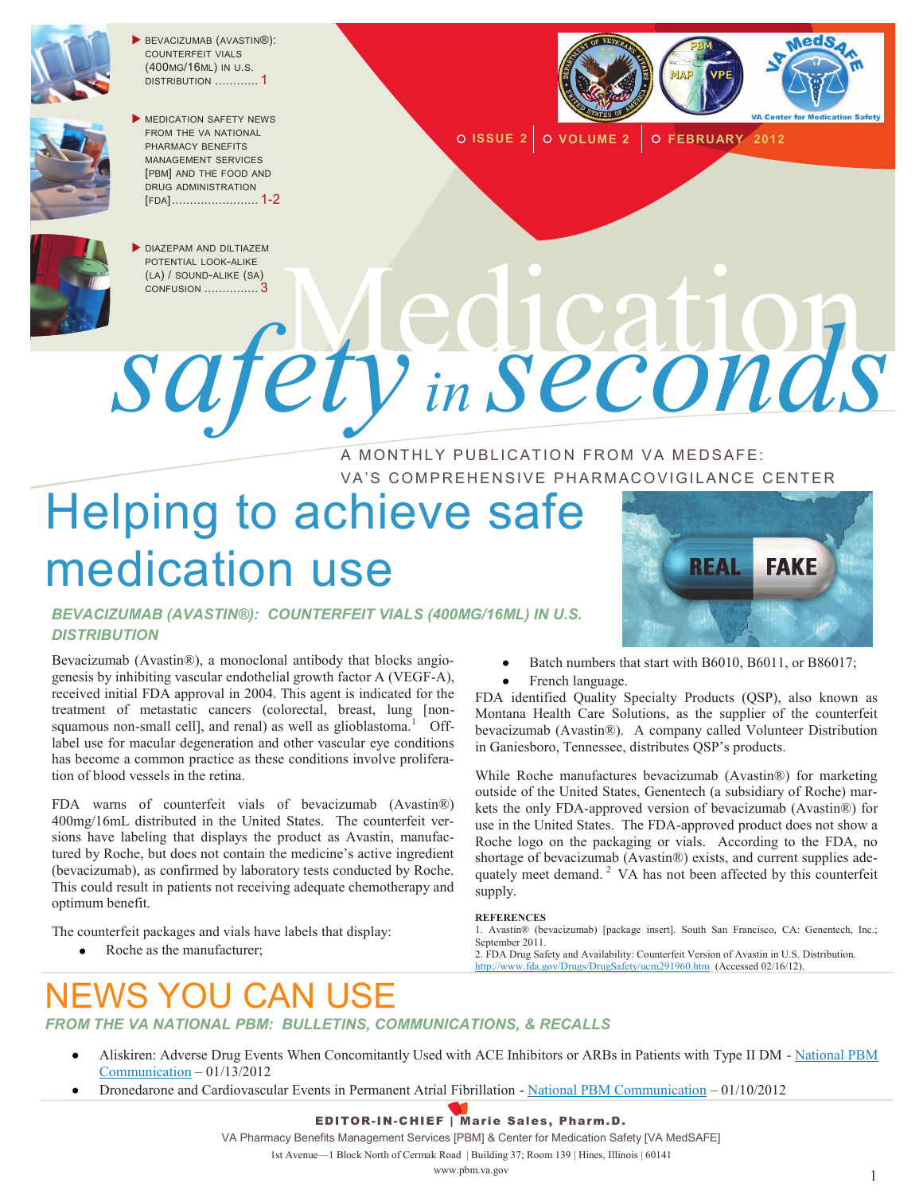

 BEVACIZUMAB (AVASTIN®): COUNTERFEIT VIALS (400MG/16ML) IN U.S. DISTRIBUTION ............ 1



MEDICATION SAFETY NEWS FROM THE VA NATIONAL PHARMACY BENEFITS MANAGEMENT SERVICES [PBM] AND THE FOOD AND DRUG ADMINISTRATION [FDA]........................ 1-2



**ISSUE 2 VOLUME 2 FEBRUARY 2012**



DIAZEPAM AND DILTIAZEM POTENTIAL LOOK-ALIKE (LA) / SOUND-ALIKE (SA)

POTENTIAL LOOK-ALIKE *safety in seconds*

#### A MONTHLY PUBLICATION FROM VA MEDSAFE: VA'S COMPREHENSIVE PHARMACOVIGILANCE CENTER

# Helping to achieve safe medication use

#### *BEVACIZUMAB (AVASTIN®): COUNTERFEIT VIALS (400MG/16ML) IN U.S. DISTRIBUTION*

Bevacizumab (Avastin®), a monoclonal antibody that blocks angiogenesis by inhibiting vascular endothelial growth factor A (VEGF-A), received initial FDA approval in 2004. This agent is indicated for the treatment of metastatic cancers (colorectal, breast, lung [nonsquamous non-small cell], and renal) as well as glioblastoma.<sup>1</sup> Offlabel use for macular degeneration and other vascular eye conditions has become a common practice as these conditions involve proliferation of blood vessels in the retina.

FDA warns of counterfeit vials of bevacizumab (Avastin®) 400mg/16mL distributed in the United States. The counterfeit versions have labeling that displays the product as Avastin, manufactured by Roche, but does not contain the medicine's active ingredient (bevacizumab), as confirmed by laboratory tests conducted by Roche. This could result in patients not receiving adequate chemotherapy and optimum benefit.

The counterfeit packages and vials have labels that display:

Roche as the manufacturer;



- Batch numbers that start with B6010, B6011, or B86017;
- French language.

FDA identified Quality Specialty Products (QSP), also known as Montana Health Care Solutions, as the supplier of the counterfeit bevacizumab (Avastin®). A company called Volunteer Distribution in Ganiesboro, Tennessee, distributes QSP's products.

While Roche manufactures bevacizumab (Avastin®) for marketing outside of the United States, Genentech (a subsidiary of Roche) markets the only FDA-approved version of bevacizumab (Avastin®) for use in the United States. The FDA-approved product does not show a Roche logo on the packaging or vials. According to the FDA, no shortage of bevacizumab (Avastin®) exists, and current supplies adequately meet demand. <sup>2</sup> VA has not been affected by this counterfeit supply.

#### **REFERENCES**

1. Avastin® (bevacizumab) [package insert]. South San Francisco, CA: Genentech, Inc.; September 2011.

2. FDA Drug Safety and Availability: Counterfeit Version of Avastin in U.S. Distribution. <http://www.fda.gov/Drugs/DrugSafety/ucm291960.htm>(Accessed 02/16/12).

## CAN USE

*FROM THE VA NATIONAL PBM: BULLETINS, COMMUNICATIONS, & RECALLS* 

- Aliskiren: Adverse Drug Events When Concomitantly Used with ACE Inhibitors or ARBs in Patients with Type II DM [National PBM](http://www.pbm.va.gov/vamedsafe/Aliskiren%20ADEs%20In%20Combination%20ACEI%20or%20ARB_%20NATIONAL%20PBM%20BULLETIN_011312_FINAL.PDF)  [Communication](http://www.pbm.va.gov/vamedsafe/Aliskiren%20ADEs%20In%20Combination%20ACEI%20or%20ARB_%20NATIONAL%20PBM%20BULLETIN_011312_FINAL.PDF) – 01/13/2012
- Dronedarone and Cardiovascular Events in Permanent Atrial Fibrillation [National PBM Communication](http://www.pbm.va.gov/vamedsafe/DRONEDARONE_PERMANENT%20AF_NATIONAL%20PBM%20COMMUNICATION_011012_FINAL.PDF) 01/10/2012

#### EDITOR-IN-CHIEF | Marie Sales, Pharm.D.

VA Pharmacy Benefits Management Services [PBM] & Center for Medication Safety [VA MedSAFE]

1st Avenue—1 Block North of Cermak Road | Building 37; Room 139 | Hines, Illinois | 60141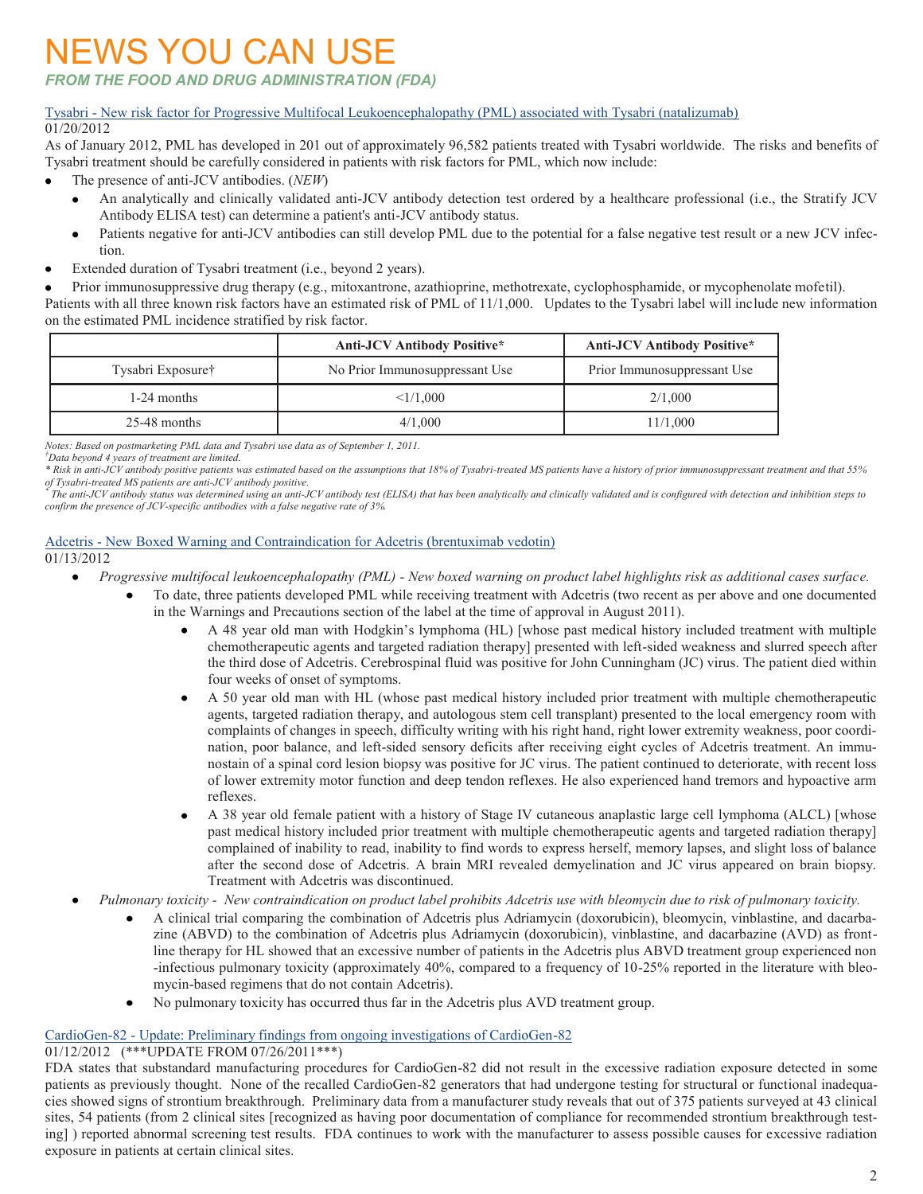### NEWS YOU CAN USE

*FROM THE FOOD AND DRUG ADMINISTRATION (FDA)*

#### Tysabri - [New risk factor for Progressive Multifocal Leukoencephalopathy \(PML\) associated with Tysabri \(natalizumab\)](http://www.fda.gov/Drugs/DrugSafety/ucm288186.htm) 01/20/2012

As of January 2012, PML has developed in 201 out of approximately 96,582 patients treated with Tysabri worldwide. The risks and benefits of Tysabri treatment should be carefully considered in patients with risk factors for PML, which now include:

- The presence of anti-JCV antibodies. (*NEW*)
	- An analytically and clinically validated anti-JCV antibody detection test ordered by a healthcare professional (i.e., the Stratify JCV Antibody ELISA test) can determine a patient's anti-JCV antibody status.
	- Patients negative for anti-JCV antibodies can still develop PML due to the potential for a false negative test result or a new JCV infection.
- Extended duration of Tysabri treatment (i.e., beyond 2 years).  $\bullet$
- Prior immunosuppressive drug therapy (e.g., mitoxantrone, azathioprine, methotrexate, cyclophosphamide, or mycophenolate mofetil).

Patients with all three known risk factors have an estimated risk of PML of 11/1,000. Updates to the Tysabri label will include new information on the estimated PML incidence stratified by risk factor.

|                   | <b>Anti-JCV Antibody Positive*</b> | <b>Anti-JCV Antibody Positive*</b> |
|-------------------|------------------------------------|------------------------------------|
| Tysabri Exposure† | No Prior Immunosuppressant Use     | Prior Immunosuppressant Use        |
| 1-24 months       | $\leq 1/1.000$                     | 2/1,000                            |
| $25-48$ months    | 4/1,000                            | 11/1.000                           |

*Notes: Based on postmarketing PML data and Tysabri use data as of September 1, 2011.*

*†Data beyond 4 years of treatment are limited.*

*The anti-JCV antibody status was determined using an anti-JCV antibody test (ELISA) that has been analytically and clinically validated and is configured with detection and inhibition steps to confirm the presence of JCV-specific antibodies with a false negative rate of 3%.*

#### Adcetris - [New Boxed Warning and Contraindication for Adcetris \(brentuximab vedotin\)](http://www.fda.gov/Drugs/DrugSafety/ucm287668.htm) 01/13/2012

- *Progressive multifocal leukoencephalopathy (PML) - New boxed warning on product label highlights risk as additional cases surface.*
	- To date, three patients developed PML while receiving treatment with Adcetris (two recent as per above and one documented in the Warnings and Precautions section of the label at the time of approval in August 2011).
		- A 48 year old man with Hodgkin's lymphoma (HL) [whose past medical history included treatment with multiple chemotherapeutic agents and targeted radiation therapy] presented with left-sided weakness and slurred speech after the third dose of Adcetris. Cerebrospinal fluid was positive for John Cunningham (JC) virus. The patient died within four weeks of onset of symptoms.
		- A 50 year old man with HL (whose past medical history included prior treatment with multiple chemotherapeutic agents, targeted radiation therapy, and autologous stem cell transplant) presented to the local emergency room with complaints of changes in speech, difficulty writing with his right hand, right lower extremity weakness, poor coordination, poor balance, and left-sided sensory deficits after receiving eight cycles of Adcetris treatment. An immunostain of a spinal cord lesion biopsy was positive for JC virus. The patient continued to deteriorate, with recent loss of lower extremity motor function and deep tendon reflexes. He also experienced hand tremors and hypoactive arm reflexes.
		- A 38 year old female patient with a history of Stage IV cutaneous anaplastic large cell lymphoma (ALCL) [whose past medical history included prior treatment with multiple chemotherapeutic agents and targeted radiation therapy] complained of inability to read, inability to find words to express herself, memory lapses, and slight loss of balance after the second dose of Adcetris. A brain MRI revealed demyelination and JC virus appeared on brain biopsy. Treatment with Adcetris was discontinued.
- *Pulmonary toxicity New contraindication on product label prohibits Adcetris use with bleomycin due to risk of pulmonary toxicity.* 
	- A clinical trial comparing the combination of Adcetris plus Adriamycin (doxorubicin), bleomycin, vinblastine, and dacarba- $\bullet$ zine (ABVD) to the combination of Adcetris plus Adriamycin (doxorubicin), vinblastine, and dacarbazine (AVD) as frontline therapy for HL showed that an excessive number of patients in the Adcetris plus ABVD treatment group experienced non -infectious pulmonary toxicity (approximately 40%, compared to a frequency of 10-25% reported in the literature with bleomycin-based regimens that do not contain Adcetris).
	- No pulmonary toxicity has occurred thus far in the Adcetris plus AVD treatment group.

#### CardioGen-82 - [Update: Preliminary findings from ongoing investigations of CardioGen-82](http://www.fda.gov/Drugs/DrugSafety/ucm287413.htm)

#### 01/12/2012 (\*\*\*UPDATE FROM 07/26/2011\*\*\*)

FDA states that substandard manufacturing procedures for CardioGen-82 did not result in the excessive radiation exposure detected in some patients as previously thought. None of the recalled CardioGen-82 generators that had undergone testing for structural or functional inadequacies showed signs of strontium breakthrough. Preliminary data from a manufacturer study reveals that out of 375 patients surveyed at 43 clinical sites, 54 patients (from 2 clinical sites [recognized as having poor documentation of compliance for recommended strontium breakthrough testing] ) reported abnormal screening test results. FDA continues to work with the manufacturer to assess possible causes for excessive radiation exposure in patients at certain clinical sites.

*<sup>\*</sup> Risk in anti-JCV antibody positive patients was estimated based on the assumptions that 18% of Tysabri-treated MS patients have a history of prior immunosuppressant treatment and that 55% of Tysabri-treated MS patients are anti-JCV antibody positive. \**